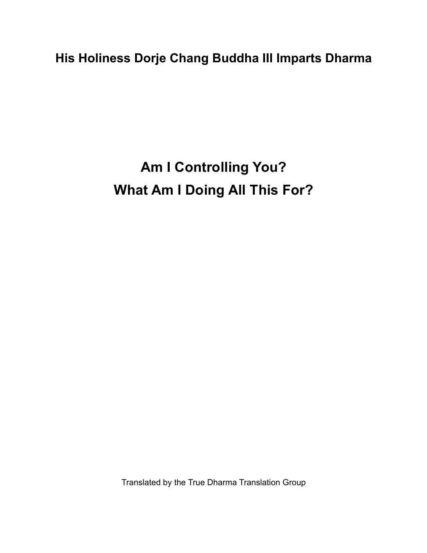**His Holiness Dorje Chang Buddha III Imparts Dharma**

**Am I Controlling You? What Am I Doing All This For?**

Translated by the True Dharma Translation Group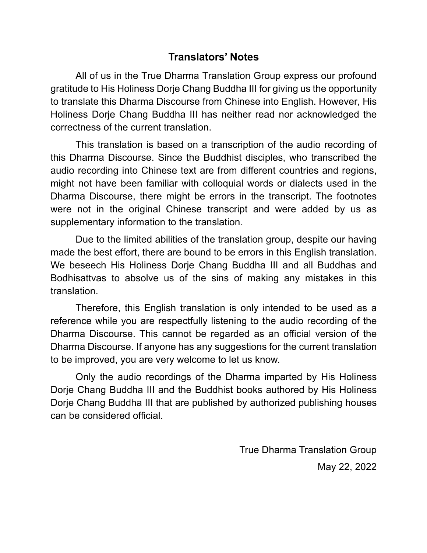## **Translators' Notes**

All of us in the True Dharma Translation Group express our profound gratitude to His Holiness Dorje Chang Buddha III for giving us the opportunity to translate this Dharma Discourse from Chinese into English. However, His Holiness Dorje Chang Buddha III has neither read nor acknowledged the correctness of the current translation.

This translation is based on a transcription of the audio recording of this Dharma Discourse. Since the Buddhist disciples, who transcribed the audio recording into Chinese text are from different countries and regions, might not have been familiar with colloquial words or dialects used in the Dharma Discourse, there might be errors in the transcript. The footnotes were not in the original Chinese transcript and were added by us as supplementary information to the translation.

Due to the limited abilities of the translation group, despite our having made the best effort, there are bound to be errors in this English translation. We beseech His Holiness Dorje Chang Buddha III and all Buddhas and Bodhisattvas to absolve us of the sins of making any mistakes in this translation.

Therefore, this English translation is only intended to be used as a reference while you are respectfully listening to the audio recording of the Dharma Discourse. This cannot be regarded as an official version of the Dharma Discourse. If anyone has any suggestions for the current translation to be improved, you are very welcome to let us know.

Only the audio recordings of the Dharma imparted by His Holiness Dorje Chang Buddha III and the Buddhist books authored by His Holiness Dorje Chang Buddha III that are published by authorized publishing houses can be considered official.

> True Dharma Translation Group May 22, 2022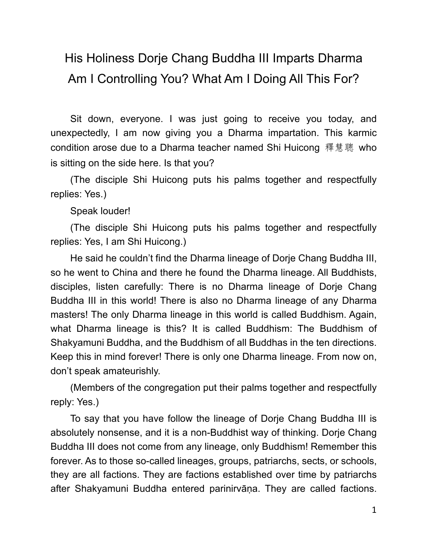## His Holiness Dorje Chang Buddha III Imparts Dharma Am I Controlling You? What Am I Doing All This For?

Sit down, everyone. I was just going to receive you today, and unexpectedly, I am now giving you a Dharma impartation. This karmic condition arose due to a Dharma teacher named Shi Huicong 釋慧聰 who is sitting on the side here. Is that you?

(The disciple Shi Huicong puts his palms together and respectfully replies: Yes.)

Speak louder!

(The disciple Shi Huicong puts his palms together and respectfully replies: Yes, I am Shi Huicong.)

He said he couldn't find the Dharma lineage of Dorje Chang Buddha III, so he went to China and there he found the Dharma lineage. All Buddhists, disciples, listen carefully: There is no Dharma lineage of Dorje Chang Buddha III in this world! There is also no Dharma lineage of any Dharma masters! The only Dharma lineage in this world is called Buddhism. Again, what Dharma lineage is this? It is called Buddhism: The Buddhism of Shakyamuni Buddha, and the Buddhism of all Buddhas in the ten directions. Keep this in mind forever! There is only one Dharma lineage. From now on, don't speak amateurishly.

(Members of the congregation put their palms together and respectfully reply: Yes.)

To say that you have follow the lineage of Dorje Chang Buddha III is absolutely nonsense, and it is a non-Buddhist way of thinking. Dorje Chang Buddha III does not come from any lineage, only Buddhism! Remember this forever. As to those so-called lineages, groups, patriarchs, sects, or schools, they are all factions. They are factions established over time by patriarchs after Shakyamuni Buddha entered parinirvāṇa. They are called factions.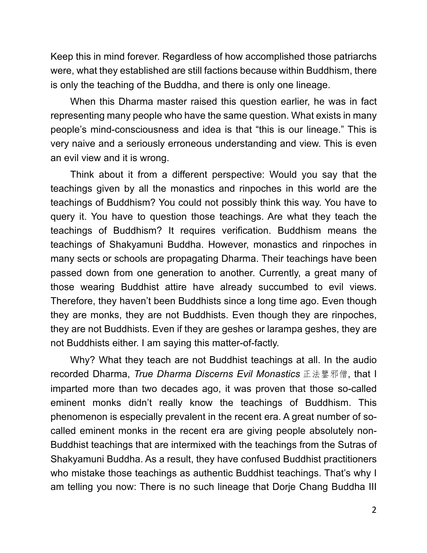Keep this in mind forever. Regardless of how accomplished those patriarchs were, what they established are still factions because within Buddhism, there is only the teaching of the Buddha, and there is only one lineage.

When this Dharma master raised this question earlier, he was in fact representing many people who have the same question. What exists in many people's mind-consciousness and idea is that "this is our lineage." This is very naive and a seriously erroneous understanding and view. This is even an evil view and it is wrong.

Think about it from a different perspective: Would you say that the teachings given by all the monastics and rinpoches in this world are the teachings of Buddhism? You could not possibly think this way. You have to query it. You have to question those teachings. Are what they teach the teachings of Buddhism? It requires verification. Buddhism means the teachings of Shakyamuni Buddha. However, monastics and rinpoches in many sects or schools are propagating Dharma. Their teachings have been passed down from one generation to another. Currently, a great many of those wearing Buddhist attire have already succumbed to evil views. Therefore, they haven't been Buddhists since a long time ago. Even though they are monks, they are not Buddhists. Even though they are rinpoches, they are not Buddhists. Even if they are geshes or larampa geshes, they are not Buddhists either. I am saying this matter-of-factly.

Why? What they teach are not Buddhist teachings at all. In the audio recorded Dharma, *True Dharma Discerns Evil Monastics* 正法鑒邪僧, that I imparted more than two decades ago, it was proven that those so-called eminent monks didn't really know the teachings of Buddhism. This phenomenon is especially prevalent in the recent era. A great number of socalled eminent monks in the recent era are giving people absolutely non-Buddhist teachings that are intermixed with the teachings from the Sutras of Shakyamuni Buddha. As a result, they have confused Buddhist practitioners who mistake those teachings as authentic Buddhist teachings. That's why I am telling you now: There is no such lineage that Dorje Chang Buddha III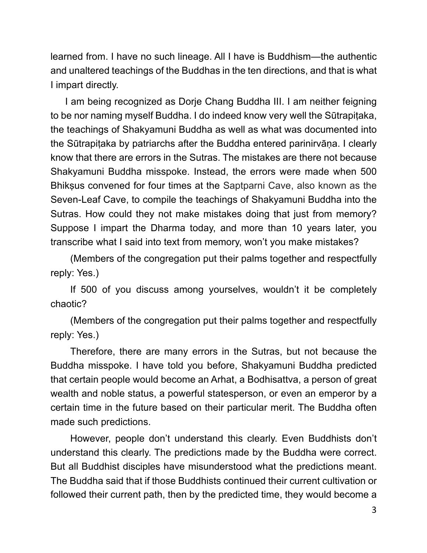learned from. I have no such lineage. All I have is Buddhism—the authentic and unaltered teachings of the Buddhas in the ten directions, and that is what I impart directly.

I am being recognized as Dorje Chang Buddha III. I am neither feigning to be nor naming myself Buddha. I do indeed know very well the Sūtrapitaka, the teachings of Shakyamuni Buddha as well as what was documented into the Sūtrapiṭaka by patriarchs after the Buddha entered parinirvāṇa. I clearly know that there are errors in the Sutras. The mistakes are there not because Shakyamuni Buddha misspoke. Instead, the errors were made when 500 Bhikṣus convened for four times at the Saptparni Cave, also known as the Seven-Leaf Cave, to compile the teachings of Shakyamuni Buddha into the Sutras. How could they not make mistakes doing that just from memory? Suppose I impart the Dharma today, and more than 10 years later, you transcribe what I said into text from memory, won't you make mistakes?

(Members of the congregation put their palms together and respectfully reply: Yes.)

If 500 of you discuss among yourselves, wouldn't it be completely chaotic?

(Members of the congregation put their palms together and respectfully reply: Yes.)

Therefore, there are many errors in the Sutras, but not because the Buddha misspoke. I have told you before, Shakyamuni Buddha predicted that certain people would become an Arhat, a Bodhisattva, a person of great wealth and noble status, a powerful statesperson, or even an emperor by a certain time in the future based on their particular merit. The Buddha often made such predictions.

However, people don't understand this clearly. Even Buddhists don't understand this clearly. The predictions made by the Buddha were correct. But all Buddhist disciples have misunderstood what the predictions meant. The Buddha said that if those Buddhists continued their current cultivation or followed their current path, then by the predicted time, they would become a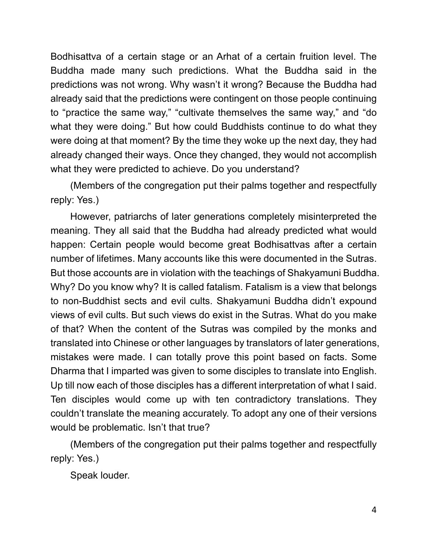Bodhisattva of a certain stage or an Arhat of a certain fruition level. The Buddha made many such predictions. What the Buddha said in the predictions was not wrong. Why wasn't it wrong? Because the Buddha had already said that the predictions were contingent on those people continuing to "practice the same way," "cultivate themselves the same way," and "do what they were doing." But how could Buddhists continue to do what they were doing at that moment? By the time they woke up the next day, they had already changed their ways. Once they changed, they would not accomplish what they were predicted to achieve. Do you understand?

(Members of the congregation put their palms together and respectfully reply: Yes.)

However, patriarchs of later generations completely misinterpreted the meaning. They all said that the Buddha had already predicted what would happen: Certain people would become great Bodhisattvas after a certain number of lifetimes. Many accounts like this were documented in the Sutras. But those accounts are in violation with the teachings of Shakyamuni Buddha. Why? Do you know why? It is called fatalism. Fatalism is a view that belongs to non-Buddhist sects and evil cults. Shakyamuni Buddha didn't expound views of evil cults. But such views do exist in the Sutras. What do you make of that? When the content of the Sutras was compiled by the monks and translated into Chinese or other languages by translators of later generations, mistakes were made. I can totally prove this point based on facts. Some Dharma that I imparted was given to some disciples to translate into English. Up till now each of those disciples has a different interpretation of what I said. Ten disciples would come up with ten contradictory translations. They couldn't translate the meaning accurately. To adopt any one of their versions would be problematic. Isn't that true?

(Members of the congregation put their palms together and respectfully reply: Yes.)

Speak louder.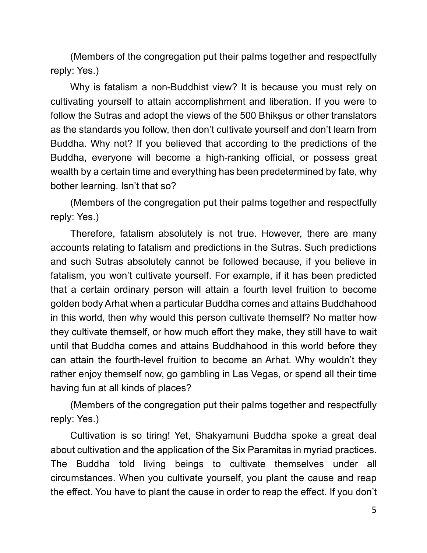(Members of the congregation put their palms together and respectfully reply: Yes.)

Why is fatalism a non-Buddhist view? It is because you must rely on cultivating yourself to attain accomplishment and liberation. If you were to follow the Sutras and adopt the views of the 500 Bhiksus or other translators as the standards you follow, then don't cultivate yourself and don't learn from Buddha. Why not? If you believed that according to the predictions of the Buddha, everyone will become a high-ranking official, or possess great wealth by a certain time and everything has been predetermined by fate, why bother learning. Isn't that so?

(Members of the congregation put their palms together and respectfully reply: Yes.)

Therefore, fatalism absolutely is not true. However, there are many accounts relating to fatalism and predictions in the Sutras. Such predictions and such Sutras absolutely cannot be followed because, if you believe in fatalism, you won't cultivate yourself. For example, if it has been predicted that a certain ordinary person will attain a fourth level fruition to become golden body Arhat when a particular Buddha comes and attains Buddhahood in this world, then why would this person cultivate themself? No matter how they cultivate themself, or how much effort they make, they still have to wait until that Buddha comes and attains Buddhahood in this world before they can attain the fourth-level fruition to become an Arhat. Why wouldn't they rather enjoy themself now, go gambling in Las Vegas, or spend all their time having fun at all kinds of places?

(Members of the congregation put their palms together and respectfully reply: Yes.)

Cultivation is so tiring! Yet, Shakyamuni Buddha spoke a great deal about cultivation and the application of the Six Paramitas in myriad practices. The Buddha told living beings to cultivate themselves under all circumstances. When you cultivate yourself, you plant the cause and reap the effect. You have to plant the cause in order to reap the effect. If you don't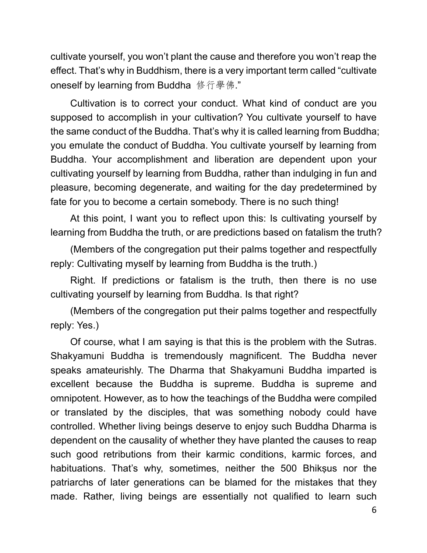cultivate yourself, you won't plant the cause and therefore you won't reap the effect. That's why in Buddhism, there is a very important term called "cultivate oneself by learning from Buddha 修行學佛."

Cultivation is to correct your conduct. What kind of conduct are you supposed to accomplish in your cultivation? You cultivate yourself to have the same conduct of the Buddha. That's why it is called learning from Buddha; you emulate the conduct of Buddha. You cultivate yourself by learning from Buddha. Your accomplishment and liberation are dependent upon your cultivating yourself by learning from Buddha, rather than indulging in fun and pleasure, becoming degenerate, and waiting for the day predetermined by fate for you to become a certain somebody. There is no such thing!

At this point, I want you to reflect upon this: Is cultivating yourself by learning from Buddha the truth, or are predictions based on fatalism the truth?

(Members of the congregation put their palms together and respectfully reply: Cultivating myself by learning from Buddha is the truth.)

Right. If predictions or fatalism is the truth, then there is no use cultivating yourself by learning from Buddha. Is that right?

(Members of the congregation put their palms together and respectfully reply: Yes.)

Of course, what I am saying is that this is the problem with the Sutras. Shakyamuni Buddha is tremendously magnificent. The Buddha never speaks amateurishly. The Dharma that Shakyamuni Buddha imparted is excellent because the Buddha is supreme. Buddha is supreme and omnipotent. However, as to how the teachings of the Buddha were compiled or translated by the disciples, that was something nobody could have controlled. Whether living beings deserve to enjoy such Buddha Dharma is dependent on the causality of whether they have planted the causes to reap such good retributions from their karmic conditions, karmic forces, and habituations. That's why, sometimes, neither the 500 Bhiksus nor the patriarchs of later generations can be blamed for the mistakes that they made. Rather, living beings are essentially not qualified to learn such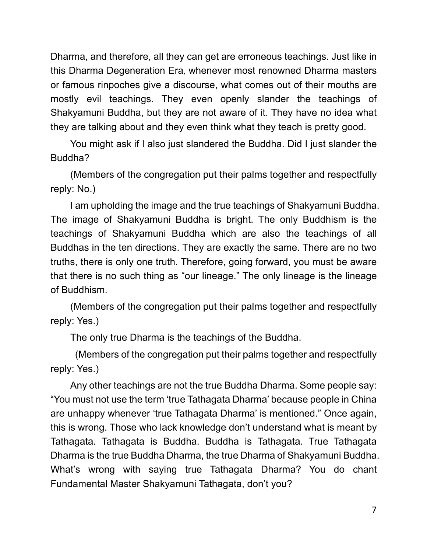Dharma, and therefore, all they can get are erroneous teachings. Just like in this Dharma Degeneration Era, whenever most renowned Dharma masters or famous rinpoches give a discourse, what comes out of their mouths are mostly evil teachings. They even openly slander the teachings of Shakyamuni Buddha, but they are not aware of it. They have no idea what they are talking about and they even think what they teach is pretty good.

You might ask if I also just slandered the Buddha. Did I just slander the Buddha?

(Members of the congregation put their palms together and respectfully reply: No.)

I am upholding the image and the true teachings of Shakyamuni Buddha. The image of Shakyamuni Buddha is bright. The only Buddhism is the teachings of Shakyamuni Buddha which are also the teachings of all Buddhas in the ten directions. They are exactly the same. There are no two truths, there is only one truth. Therefore, going forward, you must be aware that there is no such thing as "our lineage." The only lineage is the lineage of Buddhism.

(Members of the congregation put their palms together and respectfully reply: Yes.)

The only true Dharma is the teachings of the Buddha.

(Members of the congregation put their palms together and respectfully reply: Yes.)

Any other teachings are not the true Buddha Dharma. Some people say: "You must not use the term 'true Tathagata Dharma' because people in China are unhappy whenever 'true Tathagata Dharma' is mentioned." Once again, this is wrong. Those who lack knowledge don't understand what is meant by Tathagata. Tathagata is Buddha. Buddha is Tathagata. True Tathagata Dharma is the true Buddha Dharma, the true Dharma of Shakyamuni Buddha. What's wrong with saying true Tathagata Dharma? You do chant Fundamental Master Shakyamuni Tathagata, don't you?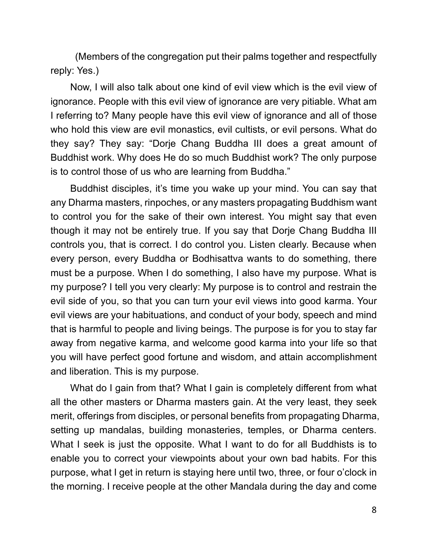(Members of the congregation put their palms together and respectfully reply: Yes.)

Now, I will also talk about one kind of evil view which is the evil view of ignorance. People with this evil view of ignorance are very pitiable. What am I referring to? Many people have this evil view of ignorance and all of those who hold this view are evil monastics, evil cultists, or evil persons. What do they say? They say: "Dorje Chang Buddha III does a great amount of Buddhist work. Why does He do so much Buddhist work? The only purpose is to control those of us who are learning from Buddha."

Buddhist disciples, it's time you wake up your mind. You can say that any Dharma masters, rinpoches, or any masters propagating Buddhism want to control you for the sake of their own interest. You might say that even though it may not be entirely true. If you say that Dorje Chang Buddha III controls you, that is correct. I do control you. Listen clearly. Because when every person, every Buddha or Bodhisattva wants to do something, there must be a purpose. When I do something, I also have my purpose. What is my purpose? I tell you very clearly: My purpose is to control and restrain the evil side of you, so that you can turn your evil views into good karma. Your evil views are your habituations, and conduct of your body, speech and mind that is harmful to people and living beings. The purpose is for you to stay far away from negative karma, and welcome good karma into your life so that you will have perfect good fortune and wisdom, and attain accomplishment and liberation. This is my purpose.

What do I gain from that? What I gain is completely different from what all the other masters or Dharma masters gain. At the very least, they seek merit, offerings from disciples, or personal benefits from propagating Dharma, setting up mandalas, building monasteries, temples, or Dharma centers. What I seek is just the opposite. What I want to do for all Buddhists is to enable you to correct your viewpoints about your own bad habits. For this purpose, what I get in return is staying here until two, three, or four o'clock in the morning. I receive people at the other Mandala during the day and come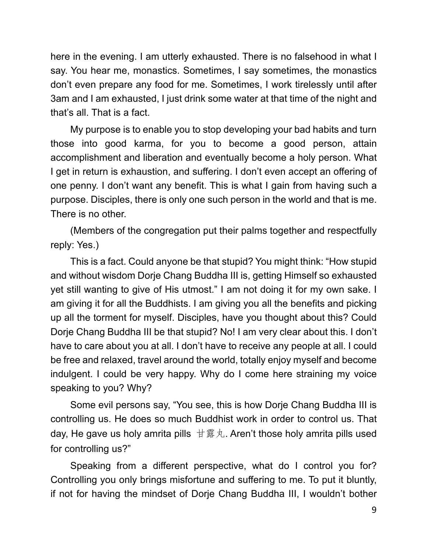here in the evening. I am utterly exhausted. There is no falsehood in what I say. You hear me, monastics. Sometimes, I say sometimes, the monastics don't even prepare any food for me. Sometimes, I work tirelessly until after 3am and I am exhausted, I just drink some water at that time of the night and that's all. That is a fact.

My purpose is to enable you to stop developing your bad habits and turn those into good karma, for you to become a good person, attain accomplishment and liberation and eventually become a holy person. What I get in return is exhaustion, and suffering. I don't even accept an offering of one penny. I don't want any benefit. This is what I gain from having such a purpose. Disciples, there is only one such person in the world and that is me. There is no other.

(Members of the congregation put their palms together and respectfully reply: Yes.)

This is a fact. Could anyone be that stupid? You might think: "How stupid and without wisdom Dorje Chang Buddha III is, getting Himself so exhausted yet still wanting to give of His utmost." I am not doing it for my own sake. I am giving it for all the Buddhists. I am giving you all the benefits and picking up all the torment for myself. Disciples, have you thought about this? Could Dorje Chang Buddha III be that stupid? No! I am very clear about this. I don't have to care about you at all. I don't have to receive any people at all. I could be free and relaxed, travel around the world, totally enjoy myself and become indulgent. I could be very happy. Why do I come here straining my voice speaking to you? Why?

Some evil persons say, "You see, this is how Dorje Chang Buddha III is controlling us. He does so much Buddhist work in order to control us. That day, He gave us holy amrita pills  $\pm \bar{\mathbb{B}} \times \mathbb{A}$ . Aren't those holy amrita pills used for controlling us?"

Speaking from a different perspective, what do I control you for? Controlling you only brings misfortune and suffering to me. To put it bluntly, if not for having the mindset of Dorje Chang Buddha III, I wouldn't bother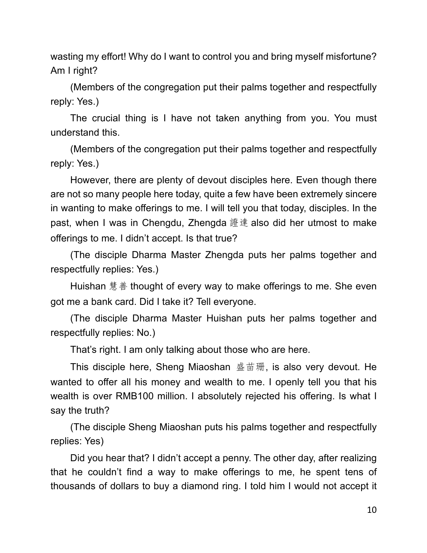wasting my effort! Why do I want to control you and bring myself misfortune? Am I right?

(Members of the congregation put their palms together and respectfully reply: Yes.)

The crucial thing is I have not taken anything from you. You must understand this.

(Members of the congregation put their palms together and respectfully reply: Yes.)

However, there are plenty of devout disciples here. Even though there are not so many people here today, quite a few have been extremely sincere in wanting to make offerings to me. I will tell you that today, disciples. In the past, when I was in Chengdu, Zhengda 證達 also did her utmost to make offerings to me. I didn't accept. Is that true?

(The disciple Dharma Master Zhengda puts her palms together and respectfully replies: Yes.)

Huishan 慧善 thought of every way to make offerings to me. She even got me a bank card. Did I take it? Tell everyone.

(The disciple Dharma Master Huishan puts her palms together and respectfully replies: No.)

That's right. I am only talking about those who are here.

This disciple here, Sheng Miaoshan  $\stackrel{.}{\mathbf{\mathbb{R}}}\stackrel{.}{\mathbf{\mathbb{H}}},$  is also very devout. He wanted to offer all his money and wealth to me. I openly tell you that his wealth is over RMB100 million. I absolutely rejected his offering. Is what I say the truth?

(The disciple Sheng Miaoshan puts his palms together and respectfully replies: Yes)

Did you hear that? I didn't accept a penny. The other day, after realizing that he couldn't find a way to make offerings to me, he spent tens of thousands of dollars to buy a diamond ring. I told him I would not accept it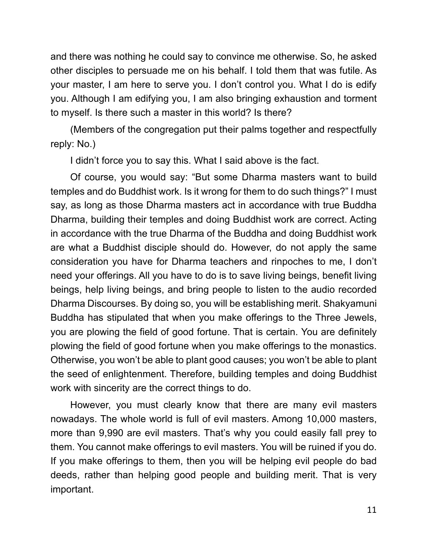and there was nothing he could say to convince me otherwise. So, he asked other disciples to persuade me on his behalf. I told them that was futile. As your master, I am here to serve you. I don't control you. What I do is edify you. Although I am edifying you, I am also bringing exhaustion and torment to myself. Is there such a master in this world? Is there?

(Members of the congregation put their palms together and respectfully reply: No.)

I didn't force you to say this. What I said above is the fact.

Of course, you would say: "But some Dharma masters want to build temples and do Buddhist work. Is it wrong for them to do such things?" I must say, as long as those Dharma masters act in accordance with true Buddha Dharma, building their temples and doing Buddhist work are correct. Acting in accordance with the true Dharma of the Buddha and doing Buddhist work are what a Buddhist disciple should do. However, do not apply the same consideration you have for Dharma teachers and rinpoches to me, I don't need your offerings. All you have to do is to save living beings, benefit living beings, help living beings, and bring people to listen to the audio recorded Dharma Discourses. By doing so, you will be establishing merit. Shakyamuni Buddha has stipulated that when you make offerings to the Three Jewels, you are plowing the field of good fortune. That is certain. You are definitely plowing the field of good fortune when you make offerings to the monastics. Otherwise, you won't be able to plant good causes; you won't be able to plant the seed of enlightenment. Therefore, building temples and doing Buddhist work with sincerity are the correct things to do.

However, you must clearly know that there are many evil masters nowadays. The whole world is full of evil masters. Among 10,000 masters, more than 9,990 are evil masters. That's why you could easily fall prey to them. You cannot make offerings to evil masters. You will be ruined if you do. If you make offerings to them, then you will be helping evil people do bad deeds, rather than helping good people and building merit. That is very important.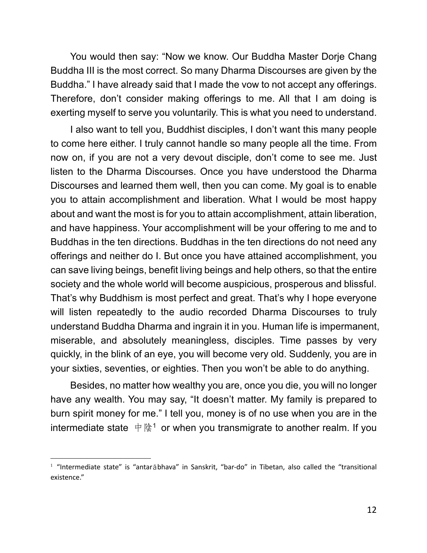You would then say: "Now we know. Our Buddha Master Dorje Chang Buddha III is the most correct. So many Dharma Discourses are given by the Buddha." I have already said that I made the vow to not accept any offerings. Therefore, don't consider making offerings to me. All that I am doing is exerting myself to serve you voluntarily. This is what you need to understand.

I also want to tell you, Buddhist disciples, I don't want this many people to come here either. I truly cannot handle so many people all the time. From now on, if you are not a very devout disciple, don't come to see me. Just listen to the Dharma Discourses. Once you have understood the Dharma Discourses and learned them well, then you can come. My goal is to enable you to attain accomplishment and liberation. What I would be most happy about and want the most is for you to attain accomplishment, attain liberation, and have happiness. Your accomplishment will be your offering to me and to Buddhas in the ten directions. Buddhas in the ten directions do not need any offerings and neither do I. But once you have attained accomplishment, you can save living beings, benefit living beings and help others, so that the entire society and the whole world will become auspicious, prosperous and blissful. That's why Buddhism is most perfect and great. That's why I hope everyone will listen repeatedly to the audio recorded Dharma Discourses to truly understand Buddha Dharma and ingrain it in you. Human life is impermanent, miserable, and absolutely meaningless, disciples. Time passes by very quickly, in the blink of an eye, you will become very old. Suddenly, you are in your sixties, seventies, or eighties. Then you won't be able to do anything.

Besides, no matter how wealthy you are, once you die, you will no longer have any wealth. You may say, "It doesn't matter. My family is prepared to burn spirit money for me." I tell you, money is of no use when you are in the intermediate state  $\psi \notin \mathbb{R}^1$  or when you transmigrate to another realm. If you

 $1$  "Intermediate state" is "antar $\bar{a}$ bhava" in Sanskrit, "bar-do" in Tibetan, also called the "transitional existence."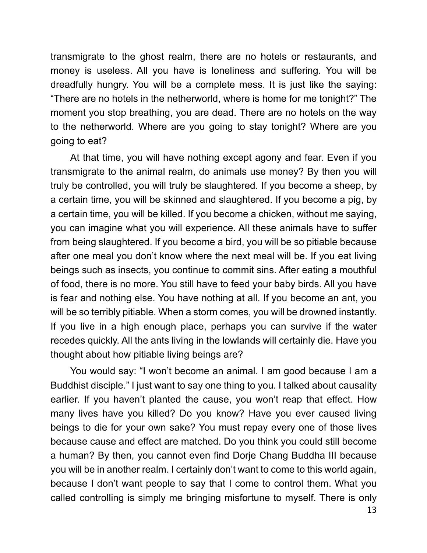transmigrate to the ghost realm, there are no hotels or restaurants, and money is useless. All you have is loneliness and suffering. You will be dreadfully hungry. You will be a complete mess. It is just like the saying: "There are no hotels in the netherworld, where is home for me tonight?" The moment you stop breathing, you are dead. There are no hotels on the way to the netherworld. Where are you going to stay tonight? Where are you going to eat?

At that time, you will have nothing except agony and fear. Even if you transmigrate to the animal realm, do animals use money? By then you will truly be controlled, you will truly be slaughtered. If you become a sheep, by a certain time, you will be skinned and slaughtered. If you become a pig, by a certain time, you will be killed. If you become a chicken, without me saying, you can imagine what you will experience. All these animals have to suffer from being slaughtered. If you become a bird, you will be so pitiable because after one meal you don't know where the next meal will be. If you eat living beings such as insects, you continue to commit sins. After eating a mouthful of food, there is no more. You still have to feed your baby birds. All you have is fear and nothing else. You have nothing at all. If you become an ant, you will be so terribly pitiable. When a storm comes, you will be drowned instantly. If you live in a high enough place, perhaps you can survive if the water recedes quickly. All the ants living in the lowlands will certainly die. Have you thought about how pitiable living beings are?

You would say: "I won't become an animal. I am good because I am a Buddhist disciple." I just want to say one thing to you. I talked about causality earlier. If you haven't planted the cause, you won't reap that effect. How many lives have you killed? Do you know? Have you ever caused living beings to die for your own sake? You must repay every one of those lives because cause and effect are matched. Do you think you could still become a human? By then, you cannot even find Dorje Chang Buddha III because you will be in another realm. I certainly don't want to come to this world again, because I don't want people to say that I come to control them. What you called controlling is simply me bringing misfortune to myself. There is only